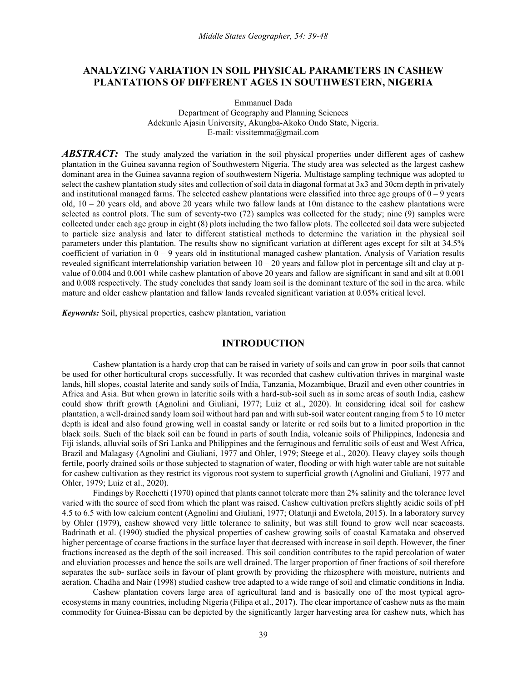# **ANALYZING VARIATION IN SOIL PHYSICAL PARAMETERS IN CASHEW PLANTATIONS OF DIFFERENT AGES IN SOUTHWESTERN, NIGERIA**

Emmanuel Dada

Department of Geography and Planning Sciences Adekunle Ajasin University, Akungba-Akoko Ondo State, Nigeria. E-mail: vissitemma@gmail.com

*ABSTRACT:* The study analyzed the variation in the soil physical properties under different ages of cashew plantation in the Guinea savanna region of Southwestern Nigeria. The study area was selected as the largest cashew dominant area in the Guinea savanna region of southwestern Nigeria. Multistage sampling technique was adopted to select the cashew plantation study sites and collection of soil data in diagonal format at 3x3 and 30cm depth in privately and institutional managed farms. The selected cashew plantations were classified into three age groups of  $0 - 9$  years old, 10 – 20 years old, and above 20 years while two fallow lands at 10m distance to the cashew plantations were selected as control plots. The sum of seventy-two (72) samples was collected for the study; nine (9) samples were collected under each age group in eight (8) plots including the two fallow plots. The collected soil data were subjected to particle size analysis and later to different statistical methods to determine the variation in the physical soil parameters under this plantation. The results show no significant variation at different ages except for silt at 34.5% coefficient of variation in  $0 - 9$  years old in institutional managed cashew plantation. Analysis of Variation results revealed significant interrelationship variation between  $10 - 20$  years and fallow plot in percentage silt and clay at pvalue of 0.004 and 0.001 while cashew plantation of above 20 years and fallow are significant in sand and silt at 0.001 and 0.008 respectively. The study concludes that sandy loam soil is the dominant texture of the soil in the area. while mature and older cashew plantation and fallow lands revealed significant variation at 0.05% critical level.

*Keywords:* Soil, physical properties, cashew plantation, variation

## **INTRODUCTION**

Cashew plantation is a hardy crop that can be raised in variety of soils and can grow in poor soils that cannot be used for other horticultural crops successfully. It was recorded that cashew cultivation thrives in marginal waste lands, hill slopes, coastal laterite and sandy soils of India, Tanzania, Mozambique, Brazil and even other countries in Africa and Asia. But when grown in lateritic soils with a hard-sub-soil such as in some areas of south India, cashew could show thrift growth (Agnolini and Giuliani, 1977; Luiz et al., 2020). In considering ideal soil for cashew plantation, a well-drained sandy loam soil without hard pan and with sub-soil water content ranging from 5 to 10 meter depth is ideal and also found growing well in coastal sandy or laterite or red soils but to a limited proportion in the black soils. Such of the black soil can be found in parts of south India, volcanic soils of Philippines, Indonesia and Fiji islands, alluvial soils of Sri Lanka and Philippines and the ferruginous and ferralitic soils of east and West Africa, Brazil and Malagasy (Agnolini and Giuliani, 1977 and Ohler, 1979; Steege et al., 2020). Heavy clayey soils though fertile, poorly drained soils or those subjected to stagnation of water, flooding or with high water table are not suitable for cashew cultivation as they restrict its vigorous root system to superficial growth (Agnolini and Giuliani, 1977 and Ohler, 1979; Luiz et al., 2020).

Findings by Rocchetti (1970) opined that plants cannot tolerate more than 2% salinity and the tolerance level varied with the source of seed from which the plant was raised. Cashew cultivation prefers slightly acidic soils of pH 4.5 to 6.5 with low calcium content (Agnolini and Giuliani, 1977; Olatunji and Ewetola, 2015). In a laboratory survey by Ohler (1979), cashew showed very little tolerance to salinity, but was still found to grow well near seacoasts. Badrinath et al. (1990) studied the physical properties of cashew growing soils of coastal Karnataka and observed higher percentage of coarse fractions in the surface layer that decreased with increase in soil depth. However, the finer fractions increased as the depth of the soil increased. This soil condition contributes to the rapid percolation of water and eluviation processes and hence the soils are well drained. The larger proportion of finer fractions of soil therefore separates the sub- surface soils in favour of plant growth by providing the rhizosphere with moisture, nutrients and aeration. Chadha and Nair (1998) studied cashew tree adapted to a wide range of soil and climatic conditions in India.

Cashew plantation covers large area of agricultural land and is basically one of the most typical agroecosystems in many countries, including Nigeria (Filipa et al., 2017). The clear importance of cashew nuts as the main commodity for Guinea-Bissau can be depicted by the significantly larger harvesting area for cashew nuts, which has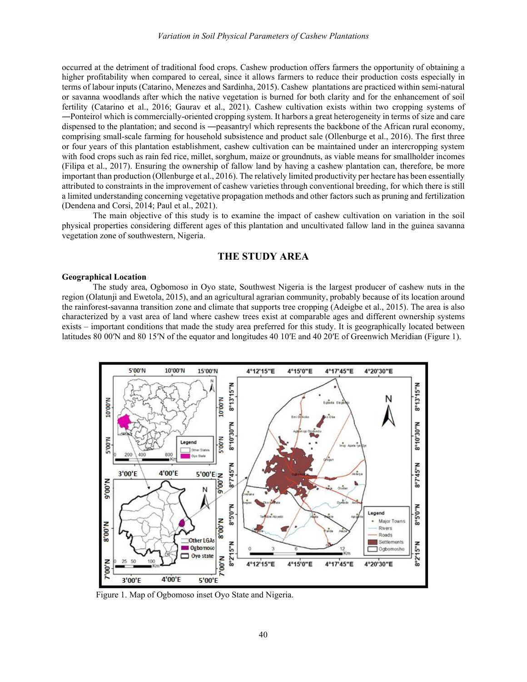occurred at the detriment of traditional food crops. Cashew production offers farmers the opportunity of obtaining a higher profitability when compared to cereal, since it allows farmers to reduce their production costs especially in terms of labour inputs (Catarino, Menezes and Sardinha, 2015). Cashew plantations are practiced within semi-natural or savanna woodlands after which the native vegetation is burned for both clarity and for the enhancement of soil fertility (Catarino et al., 2016; Gaurav et al., 2021). Cashew cultivation exists within two cropping systems of ―Ponteiro‖ which is commercially-oriented cropping system. It harbors a great heterogeneity in terms of size and care dispensed to the plantation; and second is —peasantryl which represents the backbone of the African rural economy, comprising small-scale farming for household subsistence and product sale (Ollenburge et al., 2016). The first three or four years of this plantation establishment, cashew cultivation can be maintained under an intercropping system with food crops such as rain fed rice, millet, sorghum, maize or groundnuts, as viable means for smallholder incomes (Filipa et al., 2017). Ensuring the ownership of fallow land by having a cashew plantation can, therefore, be more important than production (Ollenburge et al., 2016). The relatively limited productivity per hectare has been essentially attributed to constraints in the improvement of cashew varieties through conventional breeding, for which there is still a limited understanding concerning vegetative propagation methods and other factors such as pruning and fertilization (Dendena and Corsi, 2014; Paul et al., 2021).

The main objective of this study is to examine the impact of cashew cultivation on variation in the soil physical properties considering different ages of this plantation and uncultivated fallow land in the guinea savanna vegetation zone of southwestern, Nigeria.

# **THE STUDY AREA**

#### **Geographical Location**

The study area, Ogbomoso in Oyo state, Southwest Nigeria is the largest producer of cashew nuts in the region (Olatunji and Ewetola, 2015), and an agricultural agrarian community, probably because of its location around the rainforest-savanna transition zone and climate that supports tree cropping (Adeigbe et al., 2015). The area is also characterized by a vast area of land where cashew trees exist at comparable ages and different ownership systems exists – important conditions that made the study area preferred for this study. It is geographically located between latitudes 80 00<sup>'</sup>N and 80 15<sup>'</sup>N of the equator and longitudes 40 10'E and 40 20'E of Greenwich Meridian (Figure 1).



Figure 1. Map of Ogbomoso inset Oyo State and Nigeria.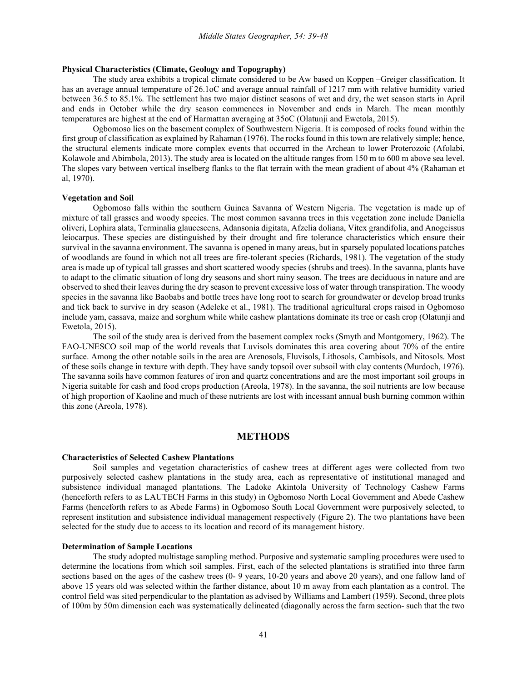## **Physical Characteristics (Climate, Geology and Topography)**

The study area exhibits a tropical climate considered to be Aw based on Koppen –Greiger classification. It has an average annual temperature of 26.1oC and average annual rainfall of 1217 mm with relative humidity varied between 36.5 to 85.1%. The settlement has two major distinct seasons of wet and dry, the wet season starts in April and ends in October while the dry season commences in November and ends in March. The mean monthly temperatures are highest at the end of Harmattan averaging at 35oC (Olatunji and Ewetola, 2015).

Ogbomoso lies on the basement complex of Southwestern Nigeria. It is composed of rocks found within the first group of classification as explained by Rahaman (1976). The rocks found in this town are relatively simple; hence, the structural elements indicate more complex events that occurred in the Archean to lower Proterozoic (Afolabi, Kolawole and Abimbola, 2013). The study area is located on the altitude ranges from 150 m to 600 m above sea level. The slopes vary between vertical inselberg flanks to the flat terrain with the mean gradient of about 4% (Rahaman et al, 1970).

#### **Vegetation and Soil**

Ogbomoso falls within the southern Guinea Savanna of Western Nigeria. The vegetation is made up of mixture of tall grasses and woody species. The most common savanna trees in this vegetation zone include Daniella oliveri, Lophira alata, Terminalia glaucescens, Adansonia digitata, Afzelia doliana, Vitex grandifolia, and Anogeissus leiocarpus. These species are distinguished by their drought and fire tolerance characteristics which ensure their survival in the savanna environment. The savanna is opened in many areas, but in sparsely populated locations patches of woodlands are found in which not all trees are fire-tolerant species (Richards, 1981). The vegetation of the study area is made up of typical tall grasses and short scattered woody species (shrubs and trees). In the savanna, plants have to adapt to the climatic situation of long dry seasons and short rainy season. The trees are deciduous in nature and are observed to shed their leaves during the dry season to prevent excessive loss of water through transpiration. The woody species in the savanna like Baobabs and bottle trees have long root to search for groundwater or develop broad trunks and tick back to survive in dry season (Adeleke et al., 1981). The traditional agricultural crops raised in Ogbomoso include yam, cassava, maize and sorghum while while cashew plantations dominate its tree or cash crop (Olatunji and Ewetola, 2015).

The soil of the study area is derived from the basement complex rocks (Smyth and Montgomery, 1962). The FAO-UNESCO soil map of the world reveals that Luvisols dominates this area covering about 70% of the entire surface. Among the other notable soils in the area are Arenosols, Fluvisols, Lithosols, Cambisols, and Nitosols. Most of these soils change in texture with depth. They have sandy topsoil over subsoil with clay contents (Murdoch, 1976). The savanna soils have common features of iron and quartz concentrations and are the most important soil groups in Nigeria suitable for cash and food crops production (Areola, 1978). In the savanna, the soil nutrients are low because of high proportion of Kaoline and much of these nutrients are lost with incessant annual bush burning common within this zone (Areola, 1978).

## **METHODS**

#### **Characteristics of Selected Cashew Plantations**

Soil samples and vegetation characteristics of cashew trees at different ages were collected from two purposively selected cashew plantations in the study area, each as representative of institutional managed and subsistence individual managed plantations. The Ladoke Akintola University of Technology Cashew Farms (henceforth refers to as LAUTECH Farms in this study) in Ogbomoso North Local Government and Abede Cashew Farms (henceforth refers to as Abede Farms) in Ogbomoso South Local Government were purposively selected, to represent institution and subsistence individual management respectively (Figure 2). The two plantations have been selected for the study due to access to its location and record of its management history.

#### **Determination of Sample Locations**

The study adopted multistage sampling method. Purposive and systematic sampling procedures were used to determine the locations from which soil samples. First, each of the selected plantations is stratified into three farm sections based on the ages of the cashew trees (0- 9 years, 10-20 years and above 20 years), and one fallow land of above 15 years old was selected within the farther distance, about 10 m away from each plantation as a control. The control field was sited perpendicular to the plantation as advised by Williams and Lambert (1959). Second, three plots of 100m by 50m dimension each was systematically delineated (diagonally across the farm section- such that the two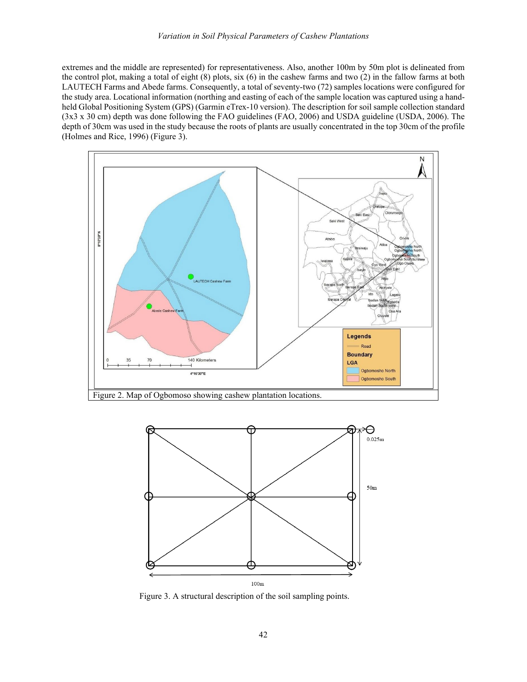extremes and the middle are represented) for representativeness. Also, another 100m by 50m plot is delineated from the control plot, making a total of eight (8) plots, six (6) in the cashew farms and two (2) in the fallow farms at both LAUTECH Farms and Abede farms. Consequently, a total of seventy-two (72) samples locations were configured for the study area. Locational information (northing and easting of each of the sample location was captured using a handheld Global Positioning System (GPS) (Garmin eTrex-10 version). The description for soil sample collection standard (3x3 x 30 cm) depth was done following the FAO guidelines (FAO, 2006) and USDA guideline (USDA, 2006). The depth of 30cm was used in the study because the roots of plants are usually concentrated in the top 30cm of the profile (Holmes and Rice, 1996) (Figure 3).



Figure 2. Map of Ogbomoso showing cashew plantation locations.



Figure 3. A structural description of the soil sampling points.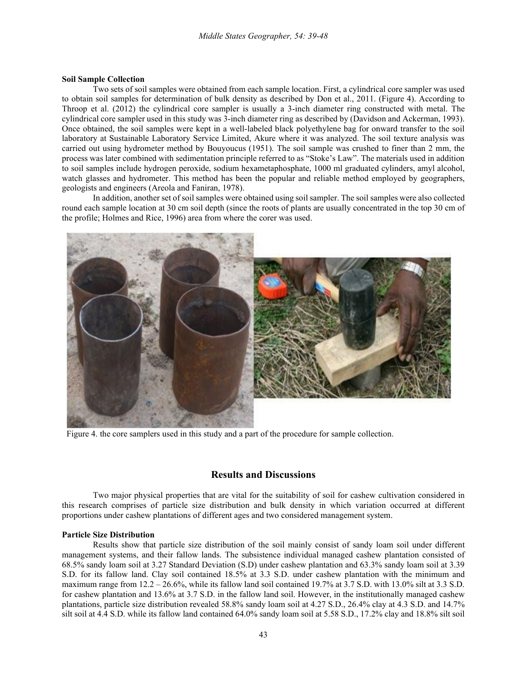#### **Soil Sample Collection**

Two sets of soil samples were obtained from each sample location. First, a cylindrical core sampler was used to obtain soil samples for determination of bulk density as described by Don et al., 2011. (Figure 4). According to Throop et al. (2012) the cylindrical core sampler is usually a 3-inch diameter ring constructed with metal. The cylindrical core sampler used in this study was 3-inch diameter ring as described by (Davidson and Ackerman, 1993). Once obtained, the soil samples were kept in a well-labeled black polyethylene bag for onward transfer to the soil laboratory at Sustainable Laboratory Service Limited, Akure where it was analyzed. The soil texture analysis was carried out using hydrometer method by Bouyoucus (1951). The soil sample was crushed to finer than 2 mm, the process was later combined with sedimentation principle referred to as "Stoke's Law". The materials used in addition to soil samples include hydrogen peroxide, sodium hexametaphosphate, 1000 ml graduated cylinders, amyl alcohol, watch glasses and hydrometer. This method has been the popular and reliable method employed by geographers, geologists and engineers (Areola and Faniran, 1978).

In addition, another set of soil samples were obtained using soil sampler. The soil samples were also collected round each sample location at 30 cm soil depth (since the roots of plants are usually concentrated in the top 30 cm of the profile; Holmes and Rice, 1996) area from where the corer was used.



Figure 4. the core samplers used in this study and a part of the procedure for sample collection.

## **Results and Discussions**

Two major physical properties that are vital for the suitability of soil for cashew cultivation considered in this research comprises of particle size distribution and bulk density in which variation occurred at different proportions under cashew plantations of different ages and two considered management system.

### **Particle Size Distribution**

Results show that particle size distribution of the soil mainly consist of sandy loam soil under different management systems, and their fallow lands. The subsistence individual managed cashew plantation consisted of 68.5% sandy loam soil at 3.27 Standard Deviation (S.D) under cashew plantation and 63.3% sandy loam soil at 3.39 S.D. for its fallow land. Clay soil contained 18.5% at 3.3 S.D. under cashew plantation with the minimum and maximum range from 12.2 – 26.6%, while its fallow land soil contained 19.7% at 3.7 S.D. with 13.0% silt at 3.3 S.D. for cashew plantation and 13.6% at 3.7 S.D. in the fallow land soil. However, in the institutionally managed cashew plantations, particle size distribution revealed 58.8% sandy loam soil at 4.27 S.D., 26.4% clay at 4.3 S.D. and 14.7% silt soil at 4.4 S.D. while its fallow land contained 64.0% sandy loam soil at 5.58 S.D., 17.2% clay and 18.8% silt soil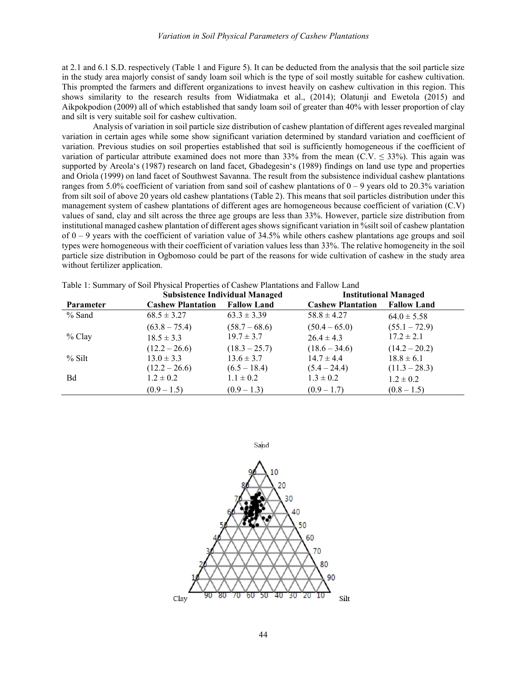at 2.1 and 6.1 S.D. respectively (Table 1 and Figure 5). It can be deducted from the analysis that the soil particle size in the study area majorly consist of sandy loam soil which is the type of soil mostly suitable for cashew cultivation. This prompted the farmers and different organizations to invest heavily on cashew cultivation in this region. This shows similarity to the research results from Widiatmaka et al., (2014); Olatunji and Ewetola (2015) and Aikpokpodion (2009) all of which established that sandy loam soil of greater than 40% with lesser proportion of clay and silt is very suitable soil for cashew cultivation.

Analysis of variation in soil particle size distribution of cashew plantation of different ages revealed marginal variation in certain ages while some show significant variation determined by standard variation and coefficient of variation. Previous studies on soil properties established that soil is sufficiently homogeneous if the coefficient of variation of particular attribute examined does not more than 33% from the mean (C.V.  $\leq$  33%). This again was supported by Areola's (1987) research on land facet, Gbadegesin's (1989) findings on land use type and properties and Oriola (1999) on land facet of Southwest Savanna. The result from the subsistence individual cashew plantations ranges from 5.0% coefficient of variation from sand soil of cashew plantations of  $0 - 9$  years old to 20.3% variation from silt soil of above 20 years old cashew plantations (Table 2). This means that soil particles distribution under this management system of cashew plantations of different ages are homogeneous because coefficient of variation (C.V) values of sand, clay and silt across the three age groups are less than 33%. However, particle size distribution from institutional managed cashew plantation of different ages shows significant variation in %silt soil of cashew plantation of  $0 - 9$  years with the coefficient of variation value of 34.5% while others cashew plantations age groups and soil types were homogeneous with their coefficient of variation values less than 33%. The relative homogeneity in the soil particle size distribution in Ogbomoso could be part of the reasons for wide cultivation of cashew in the study area without fertilizer application.

|           |                          | <b>Subsistence Individual Managed</b> | <b>Institutional Managed</b> |                    |  |
|-----------|--------------------------|---------------------------------------|------------------------------|--------------------|--|
| Parameter | <b>Cashew Plantation</b> | <b>Fallow Land</b>                    | <b>Cashew Plantation</b>     | <b>Fallow Land</b> |  |
| $%$ Sand  | $68.5 \pm 3.27$          | $63.3 \pm 3.39$                       | $58.8 \pm 4.27$              | $64.0 \pm 5.58$    |  |
|           | $(63.8 - 75.4)$          | $(58.7 - 68.6)$                       | $(50.4 - 65.0)$              | $(55.1 - 72.9)$    |  |
| $%$ Clay  | $18.5 \pm 3.3$           | $19.7 \pm 3.7$                        | $26.4 \pm 4.3$               | $17.2 \pm 2.1$     |  |
|           | $(12.2 - 26.6)$          | $(18.3 - 25.7)$                       | $(18.6 - 34.6)$              | $(14.2 - 20.2)$    |  |
| $%$ Silt  | $13.0 \pm 3.3$           | $13.6 \pm 3.7$                        | $14.7 \pm 4.4$               | $18.8 \pm 6.1$     |  |
|           | $(12.2 - 26.6)$          | $(6.5 - 18.4)$                        | $(5.4 - 24.4)$               | $(11.3 - 28.3)$    |  |
| Bd        | $1.2 \pm 0.2$            | $1.1 \pm 0.2$                         | $1.3 \pm 0.2$                | $1.2 \pm 0.2$      |  |
|           | $(0.9 - 1.5)$            | $(0.9 - 1.3)$                         | $(0.9 - 1.7)$                | $(0.8 - 1.5)$      |  |

Table 1: Summary of Soil Physical Properties of Cashew Plantations and Fallow Land

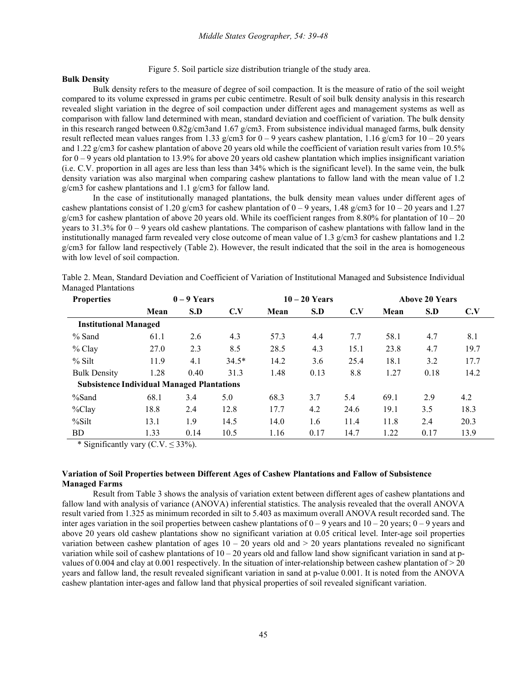Figure 5. Soil particle size distribution triangle of the study area.

#### **Bulk Density**

Bulk density refers to the measure of degree of soil compaction. It is the measure of ratio of the soil weight compared to its volume expressed in grams per cubic centimetre. Result of soil bulk density analysis in this research revealed slight variation in the degree of soil compaction under different ages and management systems as well as comparison with fallow land determined with mean, standard deviation and coefficient of variation. The bulk density in this research ranged between 0.82g/cm3and 1.67 g/cm3. From subsistence individual managed farms, bulk density result reflected mean values ranges from 1.33 g/cm3 for  $0 - 9$  years cashew plantation, 1.16 g/cm3 for  $10 - 20$  years and 1.22 g/cm3 for cashew plantation of above 20 years old while the coefficient of variation result varies from 10.5% for  $0 - 9$  years old plantation to 13.9% for above 20 years old cashew plantation which implies insignificant variation (i.e. C.V. proportion in all ages are less than less than 34% which is the significant level). In the same vein, the bulk density variation was also marginal when comparing cashew plantations to fallow land with the mean value of 1.2 g/cm3 for cashew plantations and 1.1 g/cm3 for fallow land.

In the case of institutionally managed plantations, the bulk density mean values under different ages of cashew plantations consist of 1.20 g/cm3 for cashew plantation of  $0 - 9$  years, 1.48 g/cm3 for  $10 - 20$  years and 1.27 g/cm3 for cashew plantation of above 20 years old. While its coefficient ranges from 8.80% for plantation of  $10 - 20$ years to  $31.3\%$  for  $0 - 9$  years old cashew plantations. The comparison of cashew plantations with fallow land in the institutionally managed farm revealed very close outcome of mean value of 1.3 g/cm3 for cashew plantations and 1.2 g/cm3 for fallow land respectively (Table 2). However, the result indicated that the soil in the area is homogeneous with low level of soil compaction.

| <b>Properties</b>                                 | $0 - 9$ Years |      |         | $10-20$ Years |      | <b>Above 20 Years</b> |      |      |      |
|---------------------------------------------------|---------------|------|---------|---------------|------|-----------------------|------|------|------|
|                                                   | Mean          | S.D  | C.V     | Mean          | S.D  | C.V                   | Mean | S.D  | C.V  |
| <b>Institutional Managed</b>                      |               |      |         |               |      |                       |      |      |      |
| $%$ Sand                                          | 61.1          | 2.6  | 4.3     | 57.3          | 4.4  | 7.7                   | 58.1 | 4.7  | 8.1  |
| $%$ Clay                                          | 27.0          | 2.3  | 8.5     | 28.5          | 4.3  | 15.1                  | 23.8 | 4.7  | 19.7 |
| % Silt                                            | 11.9          | 4.1  | $34.5*$ | 14.2          | 3.6  | 25.4                  | 18.1 | 3.2  | 17.7 |
| <b>Bulk Density</b>                               | 1.28          | 0.40 | 31.3    | 1.48          | 0.13 | 8.8                   | 1.27 | 0.18 | 14.2 |
| <b>Subsistence Individual Managed Plantations</b> |               |      |         |               |      |                       |      |      |      |
| $%$ Sand                                          | 68.1          | 3.4  | 5.0     | 68.3          | 3.7  | 5.4                   | 69.1 | 2.9  | 4.2  |
| $\%$ Clay                                         | 18.8          | 2.4  | 12.8    | 17.7          | 4.2  | 24.6                  | 19.1 | 3.5  | 18.3 |
| %Silt                                             | 13.1          | 1.9  | 14.5    | 14.0          | 1.6  | 11.4                  | 11.8 | 2.4  | 20.3 |
| BD                                                | 1.33          | 0.14 | 10.5    | 1.16          | 0.17 | 14.7                  | 1.22 | 0.17 | 13.9 |

Table 2. Mean, Standard Deviation and Coefficient of Variation of Institutional Managed and Subsistence Individual Managed Plantations

\* Significantly vary  $(C.V. \leq 33\%)$ .

## **Variation of Soil Properties between Different Ages of Cashew Plantations and Fallow of Subsistence Managed Farms**

Result from Table 3 shows the analysis of variation extent between different ages of cashew plantations and fallow land with analysis of variance (ANOVA) inferential statistics. The analysis revealed that the overall ANOVA result varied from 1.325 as minimum recorded in silt to 5.403 as maximum overall ANOVA result recorded sand. The inter ages variation in the soil properties between cashew plantations of  $0 - 9$  years and  $10 - 20$  years;  $0 - 9$  years and above 20 years old cashew plantations show no significant variation at 0.05 critical level. Inter-age soil properties variation between cashew plantation of ages  $10 - 20$  years old and  $> 20$  years plantations revealed no significant variation while soil of cashew plantations of  $10 - 20$  years old and fallow land show significant variation in sand at pvalues of 0.004 and clay at 0.001 respectively. In the situation of inter-relationship between cashew plantation of > 20 years and fallow land, the result revealed significant variation in sand at p-value 0.001. It is noted from the ANOVA cashew plantation inter-ages and fallow land that physical properties of soil revealed significant variation.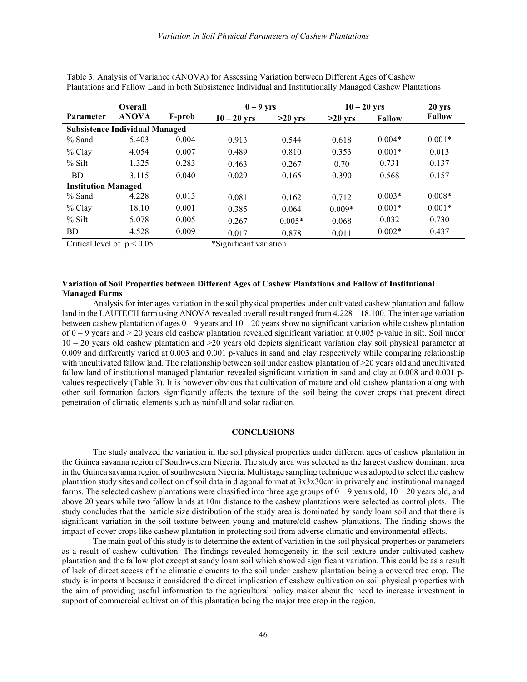| Overall                               |              | $0-9$ yrs |             | $10-20$ yrs |           | 20 <sub>yrs</sub> |               |  |
|---------------------------------------|--------------|-----------|-------------|-------------|-----------|-------------------|---------------|--|
| <b>Parameter</b>                      | <b>ANOVA</b> | F-prob    | $10-20$ yrs | $>20$ yrs   | $>20$ yrs | <b>Fallow</b>     | <b>Fallow</b> |  |
| <b>Subsistence Individual Managed</b> |              |           |             |             |           |                   |               |  |
| $%$ Sand                              | 5.403        | 0.004     | 0.913       | 0.544       | 0.618     | $0.004*$          | $0.001*$      |  |
| $%$ Clay                              | 4.054        | 0.007     | 0.489       | 0.810       | 0.353     | $0.001*$          | 0.013         |  |
| % Silt                                | 1.325        | 0.283     | 0.463       | 0.267       | 0.70      | 0.731             | 0.137         |  |
| <b>BD</b>                             | 3.115        | 0.040     | 0.029       | 0.165       | 0.390     | 0.568             | 0.157         |  |
| <b>Institution Managed</b>            |              |           |             |             |           |                   |               |  |
| $%$ Sand                              | 4.228        | 0.013     | 0.081       | 0.162       | 0.712     | $0.003*$          | $0.008*$      |  |
| $%$ Clay                              | 18.10        | 0.001     | 0.385       | 0.064       | $0.009*$  | $0.001*$          | $0.001*$      |  |
| $%$ Silt                              | 5.078        | 0.005     | 0.267       | $0.005*$    | 0.068     | 0.032             | 0.730         |  |
| <b>BD</b>                             | 4.528        | 0.009     | 0.017       | 0.878       | 0.011     | $0.002*$          | 0.437         |  |

Table 3: Analysis of Variance (ANOVA) for Assessing Variation between Different Ages of Cashew Plantations and Fallow Land in both Subsistence Individual and Institutionally Managed Cashew Plantations

Critical level of  $p < 0.05$  \*Significant variation

#### **Variation of Soil Properties between Different Ages of Cashew Plantations and Fallow of Institutional Managed Farms**

Analysis for inter ages variation in the soil physical properties under cultivated cashew plantation and fallow land in the LAUTECH farm using ANOVA revealed overall result ranged from 4.228 – 18.100. The inter age variation between cashew plantation of ages  $0 - 9$  years and  $10 - 20$  years show no significant variation while cashew plantation of  $0 - 9$  years and  $> 20$  years old cashew plantation revealed significant variation at 0.005 p-value in silt. Soil under  $10 - 20$  years old cashew plantation and  $>20$  years old depicts significant variation clay soil physical parameter at 0.009 and differently varied at 0.003 and 0.001 p-values in sand and clay respectively while comparing relationship with uncultivated fallow land. The relationship between soil under cashew plantation of  $>$ 20 years old and uncultivated fallow land of institutional managed plantation revealed significant variation in sand and clay at 0.008 and 0.001 pvalues respectively (Table 3). It is however obvious that cultivation of mature and old cashew plantation along with other soil formation factors significantly affects the texture of the soil being the cover crops that prevent direct penetration of climatic elements such as rainfall and solar radiation.

#### **CONCLUSIONS**

The study analyzed the variation in the soil physical properties under different ages of cashew plantation in the Guinea savanna region of Southwestern Nigeria. The study area was selected as the largest cashew dominant area in the Guinea savanna region of southwestern Nigeria. Multistage sampling technique was adopted to select the cashew plantation study sites and collection of soil data in diagonal format at 3x3x30cm in privately and institutional managed farms. The selected cashew plantations were classified into three age groups of  $0 - 9$  years old,  $10 - 20$  years old, and above 20 years while two fallow lands at 10m distance to the cashew plantations were selected as control plots. The study concludes that the particle size distribution of the study area is dominated by sandy loam soil and that there is significant variation in the soil texture between young and mature/old cashew plantations. The finding shows the impact of cover crops like cashew plantation in protecting soil from adverse climatic and environmental effects.

The main goal of this study is to determine the extent of variation in the soil physical properties or parameters as a result of cashew cultivation. The findings revealed homogeneity in the soil texture under cultivated cashew plantation and the fallow plot except at sandy loam soil which showed significant variation. This could be as a result of lack of direct access of the climatic elements to the soil under cashew plantation being a covered tree crop. The study is important because it considered the direct implication of cashew cultivation on soil physical properties with the aim of providing useful information to the agricultural policy maker about the need to increase investment in support of commercial cultivation of this plantation being the major tree crop in the region.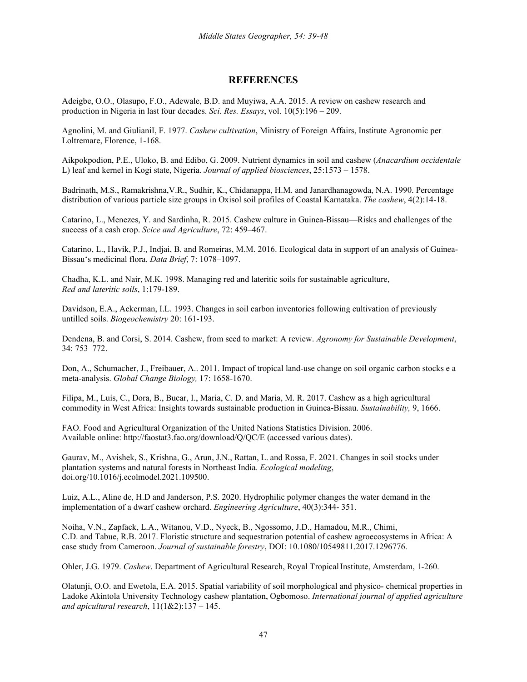# **REFERENCES**

Adeigbe, O.O., Olasupo, F.O., Adewale, B.D. and Muyiwa, A.A. 2015. A review on cashew research and production in Nigeria in last four decades. *Sci. Res. Essays*, vol. 10(5):196 – 209.

Agnolini, M. and GiulianiI, F. 1977. *Cashew cultivation*, Ministry of Foreign Affairs, Institute Agronomic per Loltremare, Florence, 1-168.

Aikpokpodion, P.E., Uloko, B. and Edibo, G. 2009. Nutrient dynamics in soil and cashew (*Anacardium occidentale*  L) leaf and kernel in Kogi state, Nigeria. *Journal of applied biosciences*, 25:1573 – 1578.

Badrinath, M.S., Ramakrishna,V.R., Sudhir, K., Chidanappa, H.M. and Janardhanagowda, N.A. 1990. Percentage distribution of various particle size groups in Oxisol soil profiles of Coastal Karnataka. *The cashew*, 4(2):14-18.

Catarino, L., Menezes, Y. and Sardinha, R. 2015. Cashew culture in Guinea-Bissau—Risks and challenges of the success of a cash crop. *Scice and Agriculture*, 72: 459–467.

Catarino, L., Havik, P.J., Indjai, B. and Romeiras, M.M. 2016. Ecological data in support of an analysis of Guinea-Bissau's medicinal flora. *Data Brief*, 7: 1078–1097.

Chadha, K.L. and Nair, M.K. 1998. Managing red and lateritic soils for sustainable agriculture, *Red and lateritic soils*, 1:179-189.

Davidson, E.A., Ackerman, I.L. 1993. Changes in soil carbon inventories following cultivation of previously untilled soils. *Biogeochemistry* 20: 161-193.

Dendena, B. and Corsi, S. 2014. Cashew, from seed to market: A review. *Agronomy for Sustainable Development*, 34: 753–772.

Don, A., Schumacher, J., Freibauer, A.. 2011. Impact of tropical land-use change on soil organic carbon stocks e a meta-analysis. *Global Change Biology,* 17: 1658-1670.

Filipa, M., Luís, C., Dora, B., Bucar, I., Maria, C. D. and Maria, M. R. 2017. Cashew as a high agricultural commodity in West Africa: Insights towards sustainable production in Guinea-Bissau. *Sustainability,* 9, 1666.

FAO. Food and Agricultural Organization of the United Nations Statistics Division. 2006. Available online: http://faostat3.fao.org/download/Q/QC/E (accessed various dates).

Gaurav, M., Avishek, S., Krishna, G., Arun, J.N., Rattan, L. and Rossa, F. 2021. Changes in soil stocks under plantation systems and natural forests in Northeast India. *Ecological modeling*, doi.org/10.1016/j.ecolmodel.2021.109500.

Luiz, A.L., Aline de, H.D and Janderson, P.S. 2020. Hydrophilic polymer changes the water demand in the implementation of a dwarf cashew orchard. *Engineering Agriculture*, 40(3):344- 351.

Noiha, V.N., Zapfack, L.A., Witanou, V.D., Nyeck, B., Ngossomo, J.D., Hamadou, M.R., Chimi, C.D. and Tabue, R.B. 2017. Floristic structure and sequestration potential of cashew agroecosystems in Africa: A case study from Cameroon. *Journal of sustainable forestry*, DOI: 10.1080/10549811.2017.1296776.

Ohler, J.G. 1979. *Cashew*. Department of Agricultural Research, Royal TropicalInstitute, Amsterdam, 1-260.

Olatunji, O.O. and Ewetola, E.A. 2015. Spatial variability of soil morphological and physico- chemical properties in Ladoke Akintola University Technology cashew plantation, Ogbomoso. *International journal of applied agriculture and apicultural research*, 11(1&2):137 – 145.